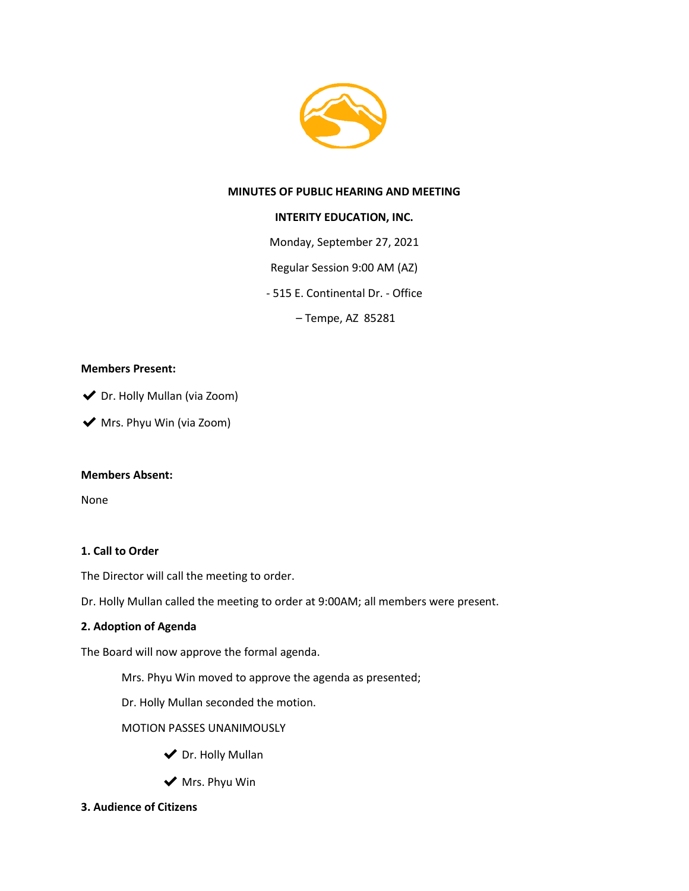

### **MINUTES OF PUBLIC HEARING AND MEETING**

### **INTERITY EDUCATION, INC.**

Monday, September 27, 2021

Regular Session 9:00 AM (AZ)

- 515 E. Continental Dr. - Office

– Tempe, AZ 85281

### **Members Present:**

◆ Dr. Holly Mullan (via Zoom)

◆ Mrs. Phyu Win (via Zoom)

### **Members Absent:**

None

### **1. Call to Order**

The Director will call the meeting to order.

Dr. Holly Mullan called the meeting to order at 9:00AM; all members were present.

### **2. Adoption of Agenda**

The Board will now approve the formal agenda.

Mrs. Phyu Win moved to approve the agenda as presented;

Dr. Holly Mullan seconded the motion.

MOTION PASSES UNANIMOUSLY

- ◆ Dr. Holly Mullan
- $\blacktriangleright$  Mrs. Phyu Win
- **3. Audience of Citizens**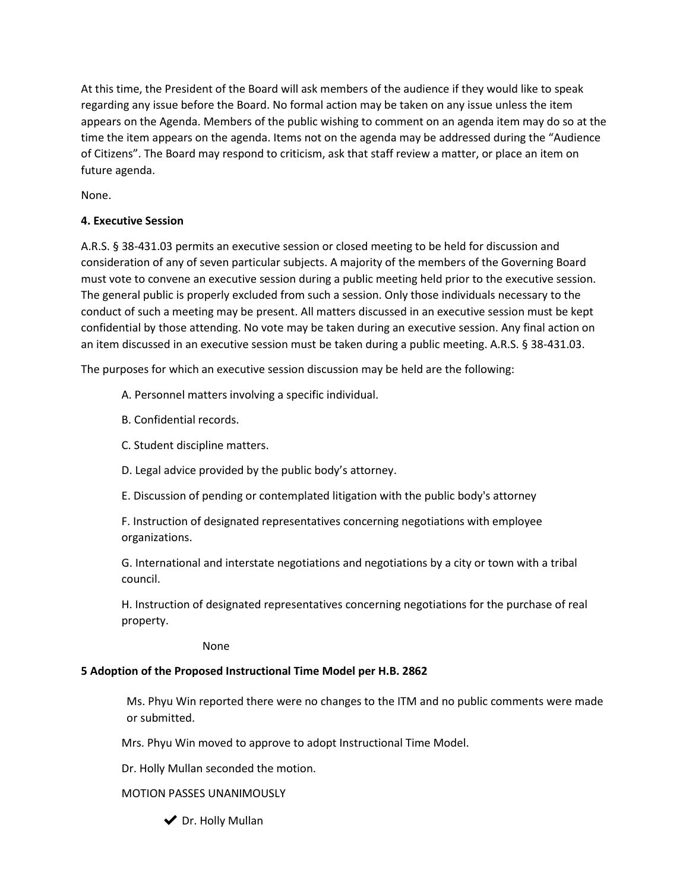At this time, the President of the Board will ask members of the audience if they would like to speak regarding any issue before the Board. No formal action may be taken on any issue unless the item appears on the Agenda. Members of the public wishing to comment on an agenda item may do so at the time the item appears on the agenda. Items not on the agenda may be addressed during the "Audience of Citizens". The Board may respond to criticism, ask that staff review a matter, or place an item on future agenda.

None.

## **4. Executive Session**

A.R.S. § 38-431.03 permits an executive session or closed meeting to be held for discussion and consideration of any of seven particular subjects. A majority of the members of the Governing Board must vote to convene an executive session during a public meeting held prior to the executive session. The general public is properly excluded from such a session. Only those individuals necessary to the conduct of such a meeting may be present. All matters discussed in an executive session must be kept confidential by those attending. No vote may be taken during an executive session. Any final action on an item discussed in an executive session must be taken during a public meeting. A.R.S. § 38-431.03.

The purposes for which an executive session discussion may be held are the following:

- A. Personnel matters involving a specific individual.
- B. Confidential records.
- C. Student discipline matters.
- D. Legal advice provided by the public body's attorney.
- E. Discussion of pending or contemplated litigation with the public body's attorney

F. Instruction of designated representatives concerning negotiations with employee organizations.

G. International and interstate negotiations and negotiations by a city or town with a tribal council.

H. Instruction of designated representatives concerning negotiations for the purchase of real property.

None

## **5 Adoption of the Proposed Instructional Time Model per H.B. 2862**

Ms. Phyu Win reported there were no changes to the ITM and no public comments were made or submitted.

Mrs. Phyu Win moved to approve to adopt Instructional Time Model.

Dr. Holly Mullan seconded the motion.

### MOTION PASSES UNANIMOUSLY

◆ Dr. Holly Mullan